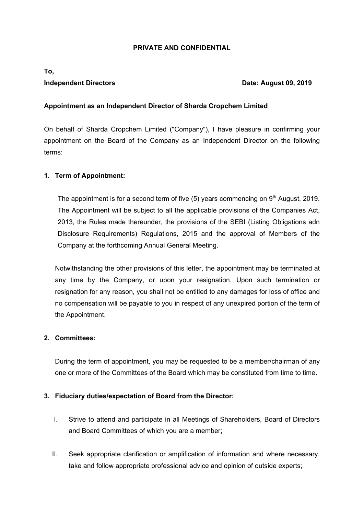#### **PRIVATE AND CONFIDENTIAL**

# **To,**

#### **Independent Directors Community Community Community Community Community Community Community Community Community Community Community Community Community Community Community Community Community Community Community Community**

#### **Appointment as an Independent Director of Sharda Cropchem Limited**

On behalf of Sharda Cropchem Limited ("Company"), I have pleasure in confirming your appointment on the Board of the Company as an Independent Director on the following terms:

#### **1. Term of Appointment:**

The appointment is for a second term of five  $(5)$  years commencing on  $9<sup>th</sup>$  August, 2019. The Appointment will be subject to all the applicable provisions of the Companies Act, 2013, the Rules made thereunder, the provisions of the SEBI (Listing Obligations adn Disclosure Requirements) Regulations, 2015 and the approval of Members of the Company at the forthcoming Annual General Meeting.

Notwithstanding the other provisions of this letter, the appointment may be terminated at any time by the Company, or upon your resignation. Upon such termination or resignation for any reason, you shall not be entitled to any damages for loss of office and no compensation will be payable to you in respect of any unexpired portion of the term of the Appointment.

#### **2. Committees:**

During the term of appointment, you may be requested to be a member/chairman of any one or more of the Committees of the Board which may be constituted from time to time.

#### **3. Fiduciary duties/expectation of Board from the Director:**

- I. Strive to attend and participate in all Meetings of Shareholders, Board of Directors and Board Committees of which you are a member;
- II. Seek appropriate clarification or amplification of information and where necessary, take and follow appropriate professional advice and opinion of outside experts;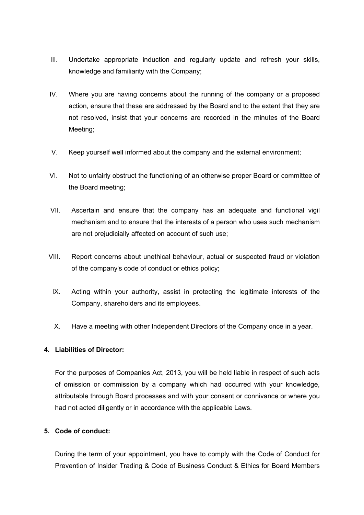- III. Undertake appropriate induction and regularly update and refresh your skills, knowledge and familiarity with the Company;
- IV. Where you are having concerns about the running of the company or a proposed action, ensure that these are addressed by the Board and to the extent that they are not resolved, insist that your concerns are recorded in the minutes of the Board Meeting;
- V. Keep yourself well informed about the company and the external environment;
- VI. Not to unfairly obstruct the functioning of an otherwise proper Board or committee of the Board meeting;
- VII. Ascertain and ensure that the company has an adequate and functional vigil mechanism and to ensure that the interests of a person who uses such mechanism are not prejudicially affected on account of such use;
- VIII. Report concerns about unethical behaviour, actual or suspected fraud or violation of the company's code of conduct or ethics policy;
- IX. Acting within your authority, assist in protecting the legitimate interests of the Company, shareholders and its employees.
- X. Have a meeting with other Independent Directors of the Company once in a year.

#### **4. Liabilities of Director:**

For the purposes of Companies Act, 2013, you will be held liable in respect of such acts of omission or commission by a company which had occurred with your knowledge, attributable through Board processes and with your consent or connivance or where you had not acted diligently or in accordance with the applicable Laws.

#### **5. Code of conduct:**

During the term of your appointment, you have to comply with the Code of Conduct for Prevention of Insider Trading & Code of Business Conduct & Ethics for Board Members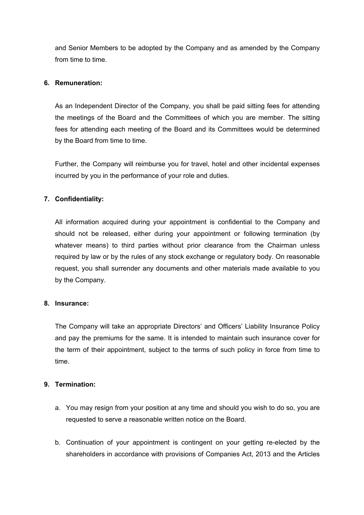and Senior Members to be adopted by the Company and as amended by the Company from time to time.

#### **6. Remuneration:**

As an Independent Director of the Company, you shall be paid sitting fees for attending the meetings of the Board and the Committees of which you are member. The sitting fees for attending each meeting of the Board and its Committees would be determined by the Board from time to time.

Further, the Company will reimburse you for travel, hotel and other incidental expenses incurred by you in the performance of your role and duties.

## **7. Confidentiality:**

All information acquired during your appointment is confidential to the Company and should not be released, either during your appointment or following termination (by whatever means) to third parties without prior clearance from the Chairman unless required by law or by the rules of any stock exchange or regulatory body. On reasonable request, you shall surrender any documents and other materials made available to you by the Company.

#### **8. Insurance:**

The Company will take an appropriate Directors' and Officers' Liability Insurance Policy and pay the premiums for the same. It is intended to maintain such insurance cover for the term of their appointment, subject to the terms of such policy in force from time to time.

### **9. Termination:**

- a. You may resign from your position at any time and should you wish to do so, you are requested to serve a reasonable written notice on the Board.
- b. Continuation of your appointment is contingent on your getting re-elected by the shareholders in accordance with provisions of Companies Act, 2013 and the Articles